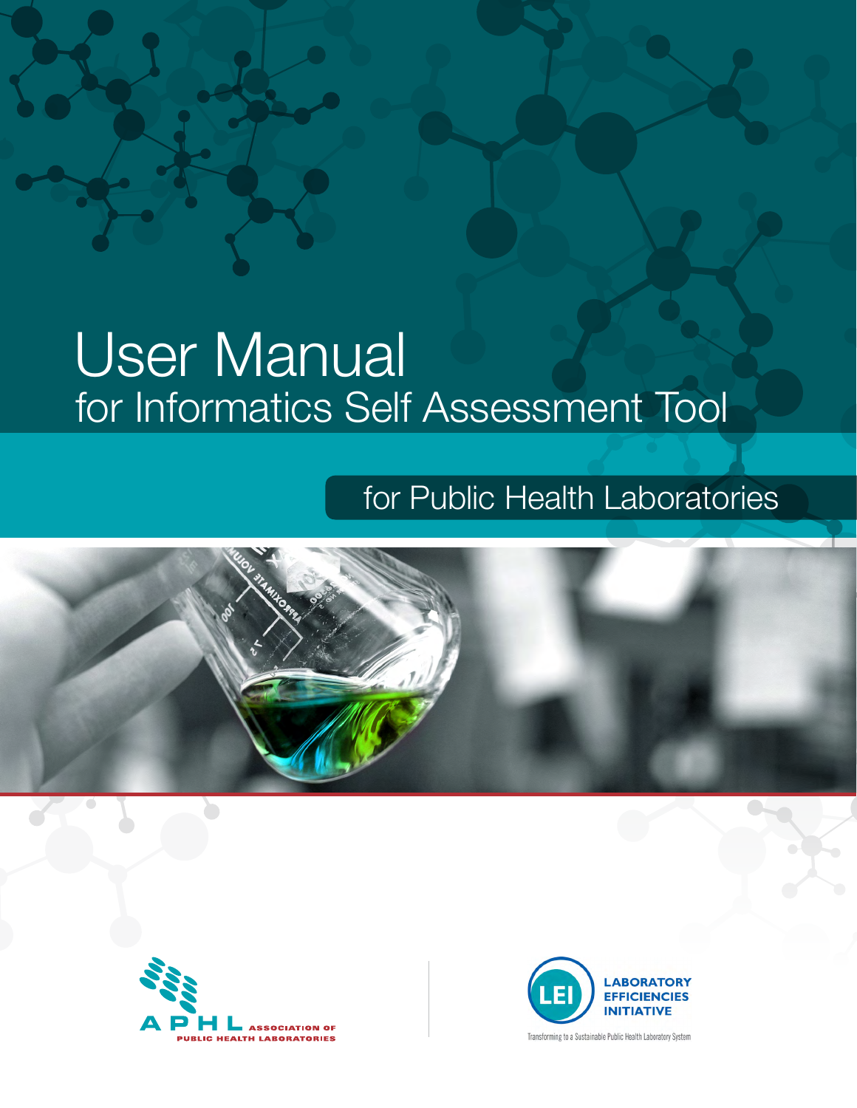# User Manual for Informatics Self Assessment Tool

# for Public Health Laboratories







Transforming to a Sustainable Public Health Laboratory System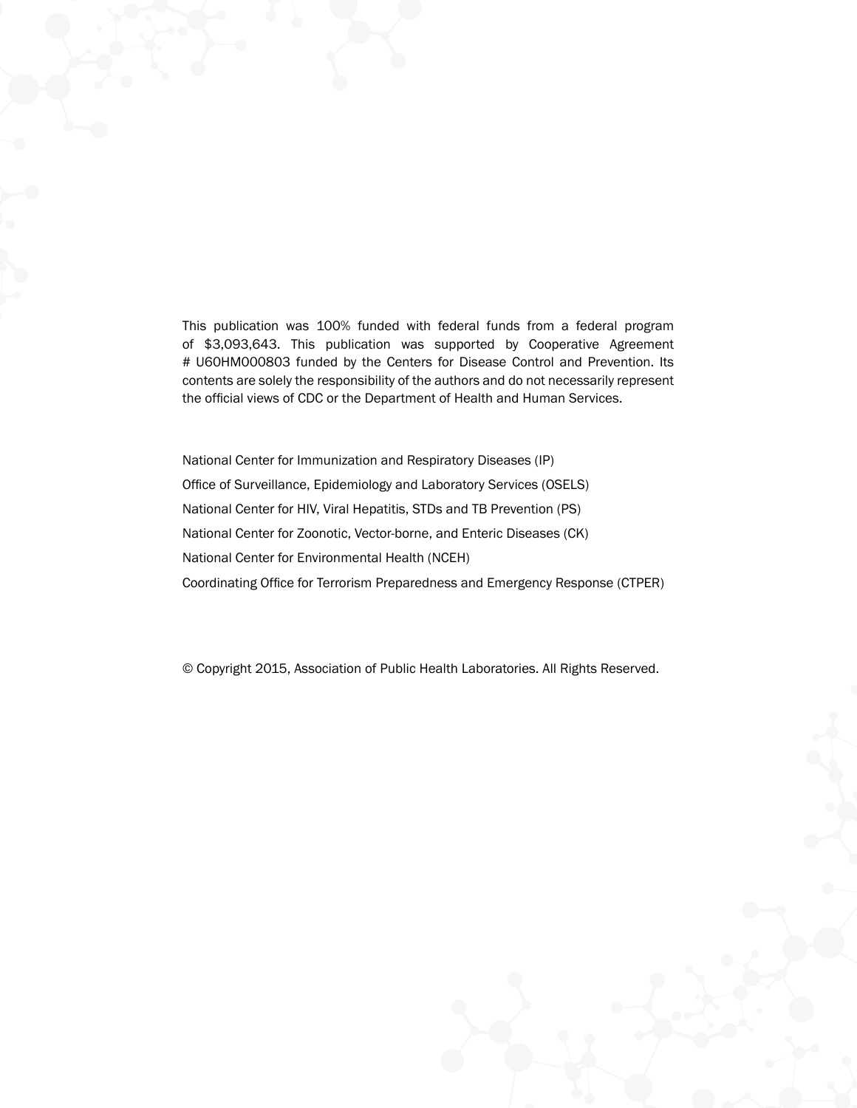This publication was 100% funded with federal funds from a federal program of \$3,093,643. This publication was supported by Cooperative Agreement # U60HM000803 funded by the Centers for Disease Control and Prevention. Its contents are solely the responsibility of the authors and do not necessarily represent the official views of CDC or the Department of Health and Human Services.

National Center for Immunization and Respiratory Diseases (IP) Office of Surveillance, Epidemiology and Laboratory Services (OSELS) National Center for HIV, Viral Hepatitis, STDs and TB Prevention (PS) National Center for Zoonotic, Vector-borne, and Enteric Diseases (CK) National Center for Environmental Health (NCEH) Coordinating Office for Terrorism Preparedness and Emergency Response (CTPER)

© Copyright 2015, Association of Public Health Laboratories. All Rights Reserved.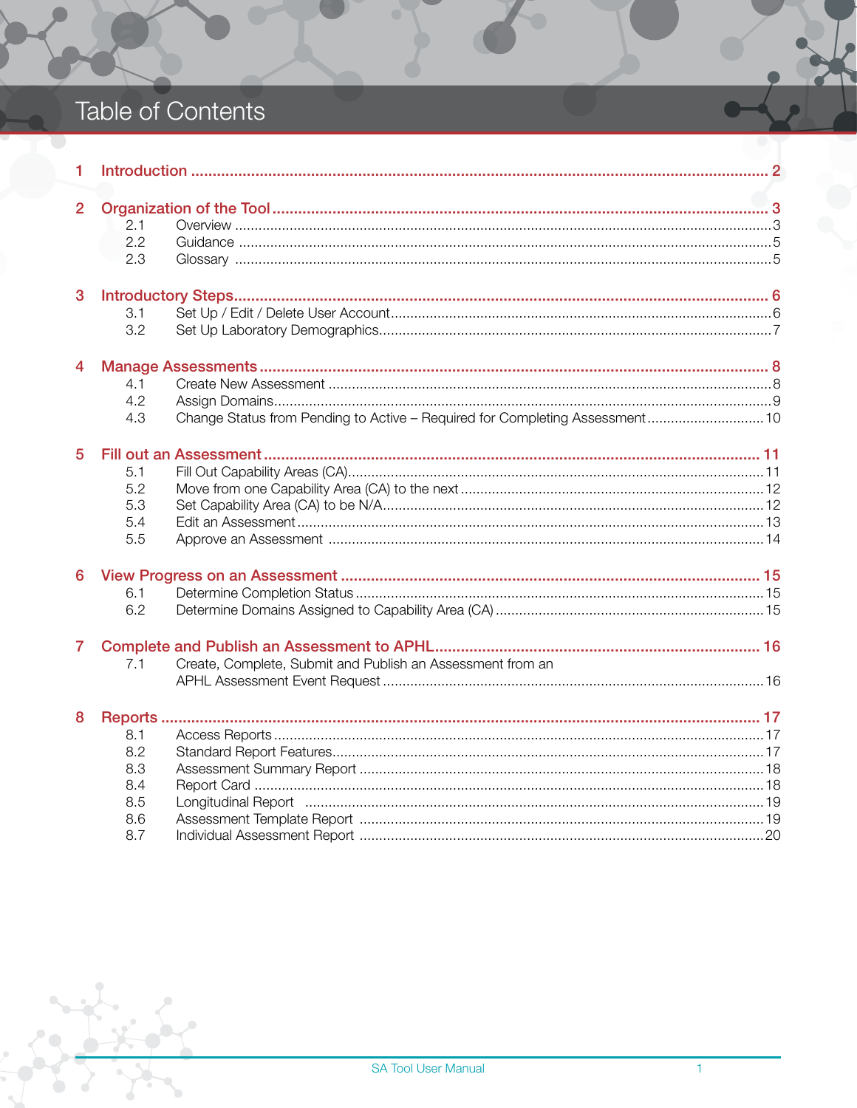# Table of Contents

| 1              |                                                                                                                                                                  |  |
|----------------|------------------------------------------------------------------------------------------------------------------------------------------------------------------|--|
| $\overline{2}$ | 2.1<br>2.2<br>2.3                                                                                                                                                |  |
| 3              | 3.1<br>3.2                                                                                                                                                       |  |
| 4              | 4.1<br>4.2<br>Change Status from Pending to Active - Required for Completing Assessment 10<br>4.3                                                                |  |
| 5              | 5.1<br>5.2<br>5.3<br>5.4<br>5.5                                                                                                                                  |  |
| 6              | 6.1<br>6.2                                                                                                                                                       |  |
| 7              | Create, Complete, Submit and Publish an Assessment from an<br>7.1                                                                                                |  |
| 8              | 8.1<br>8.2<br>8.3<br>8.4<br>8.5<br>Longitudinal Report (and according to the control of the control of the control of the control of the control o<br>8.6<br>8.7 |  |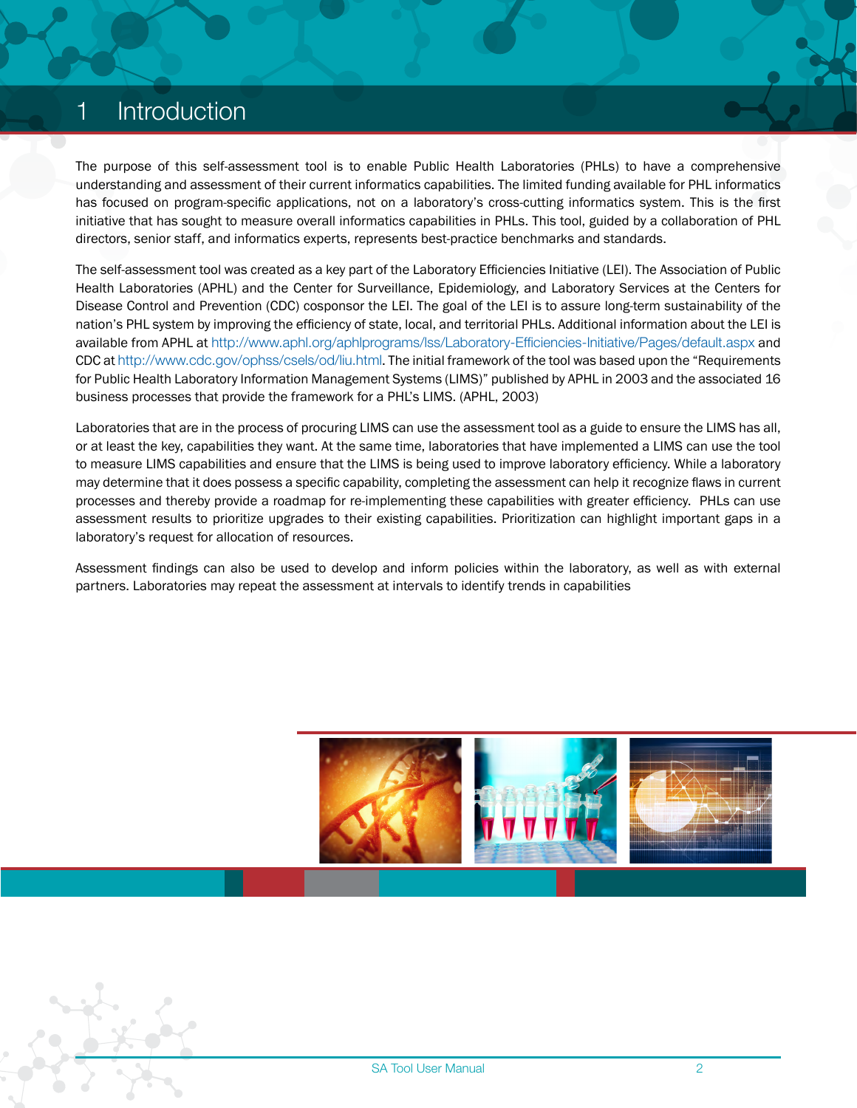# <span id="page-3-0"></span>**Introduction**

The purpose of this self-assessment tool is to enable Public Health Laboratories (PHLs) to have a comprehensive understanding and assessment of their current informatics capabilities. The limited funding available for PHL informatics has focused on program-specific applications, not on a laboratory's cross-cutting informatics system. This is the first initiative that has sought to measure overall informatics capabilities in PHLs. This tool, guided by a collaboration of PHL directors, senior staff, and informatics experts, represents best-practice benchmarks and standards.

The self-assessment tool was created as a key part of the Laboratory Efficiencies Initiative (LEI). The Association of Public Health Laboratories (APHL) and the Center for Surveillance, Epidemiology, and Laboratory Services at the Centers for Disease Control and Prevention (CDC) cosponsor the LEI. The goal of the LEI is to assure long-term sustainability of the nation's PHL system by improving the efficiency of state, local, and territorial PHLs. Additional information about the LEI is available from APHL at <http://www.aphl.org/aphlprograms/lss/Laboratory-Efficiencies-Initiative/Pages/default.aspx> and CDC at <http://www.cdc.gov/ophss/csels/od/liu.html>. The initial framework of the tool was based upon the "Requirements for Public Health Laboratory Information Management Systems (LIMS)" published by APHL in 2003 and the associated 16 business processes that provide the framework for a PHL's LIMS. (APHL, 2003)

Laboratories that are in the process of procuring LIMS can use the assessment tool as a guide to ensure the LIMS has all, or at least the key, capabilities they want. At the same time, laboratories that have implemented a LIMS can use the tool to measure LIMS capabilities and ensure that the LIMS is being used to improve laboratory efficiency. While a laboratory may determine that it does possess a specific capability, completing the assessment can help it recognize flaws in current processes and thereby provide a roadmap for re-implementing these capabilities with greater efficiency. PHLs can use assessment results to prioritize upgrades to their existing capabilities. Prioritization can highlight important gaps in a laboratory's request for allocation of resources.

Assessment findings can also be used to develop and inform policies within the laboratory, as well as with external partners. Laboratories may repeat the assessment at intervals to identify trends in capabilities

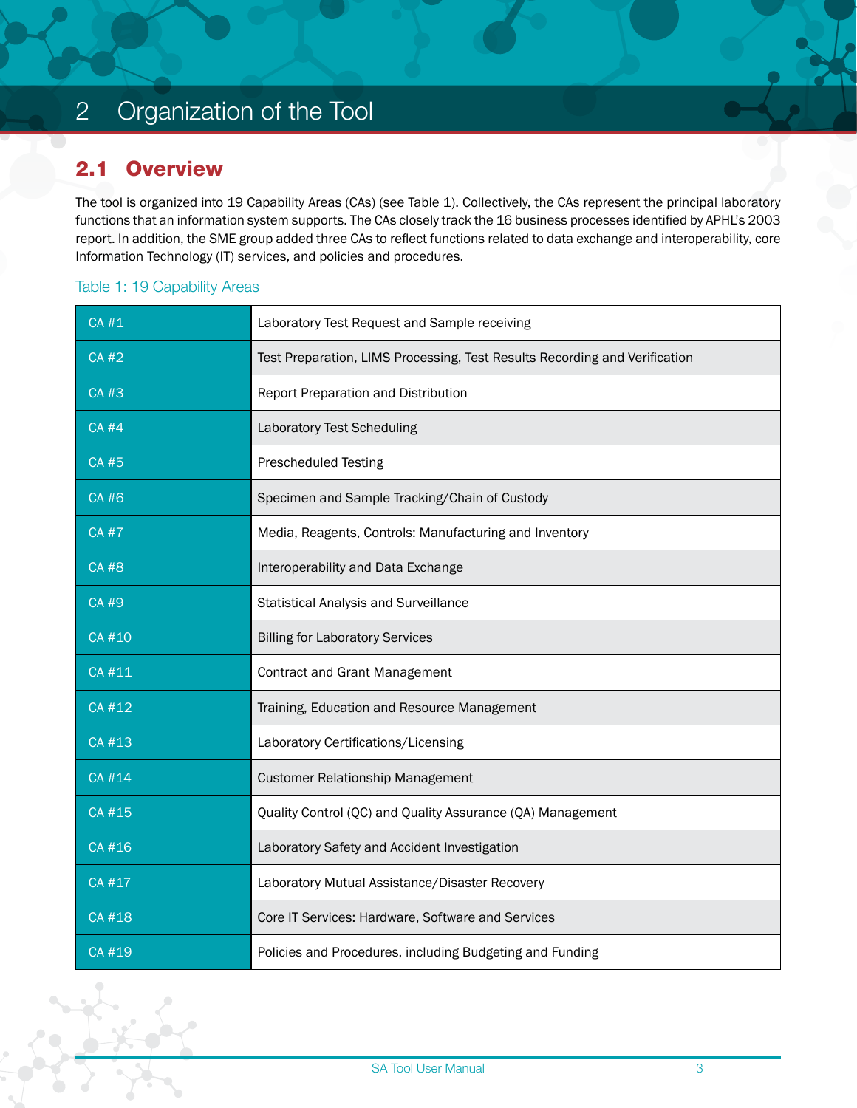# <span id="page-4-0"></span>2 Organization of the Tool

#### 2.1 Overview

The tool is organized into 19 Capability Areas (CAs) (see Table 1). Collectively, the CAs represent the principal laboratory functions that an information system supports. The CAs closely track the 16 business processes identified by APHL's 2003 report. In addition, the SME group added three CAs to reflect functions related to data exchange and interoperability, core Information Technology (IT) services, and policies and procedures.

#### Table 1: 19 Capability Areas

| <b>CA#1</b> | Laboratory Test Request and Sample receiving                               |  |  |  |
|-------------|----------------------------------------------------------------------------|--|--|--|
| <b>CA#2</b> | Test Preparation, LIMS Processing, Test Results Recording and Verification |  |  |  |
| <b>CA#3</b> | Report Preparation and Distribution                                        |  |  |  |
| <b>CA#4</b> | <b>Laboratory Test Scheduling</b>                                          |  |  |  |
| <b>CA#5</b> | <b>Prescheduled Testing</b>                                                |  |  |  |
| <b>CA#6</b> | Specimen and Sample Tracking/Chain of Custody                              |  |  |  |
| <b>CA#7</b> | Media, Reagents, Controls: Manufacturing and Inventory                     |  |  |  |
| <b>CA#8</b> | Interoperability and Data Exchange                                         |  |  |  |
| CA #9       | <b>Statistical Analysis and Surveillance</b>                               |  |  |  |
| CA #10      | <b>Billing for Laboratory Services</b>                                     |  |  |  |
| CA #11      | <b>Contract and Grant Management</b>                                       |  |  |  |
| CA #12      | Training, Education and Resource Management                                |  |  |  |
| CA #13      | Laboratory Certifications/Licensing                                        |  |  |  |
| CA #14      | <b>Customer Relationship Management</b>                                    |  |  |  |
| CA #15      | Quality Control (QC) and Quality Assurance (QA) Management                 |  |  |  |
| CA #16      | Laboratory Safety and Accident Investigation                               |  |  |  |
| CA #17      | Laboratory Mutual Assistance/Disaster Recovery                             |  |  |  |
| CA #18      | Core IT Services: Hardware, Software and Services                          |  |  |  |
| CA #19      | Policies and Procedures, including Budgeting and Funding                   |  |  |  |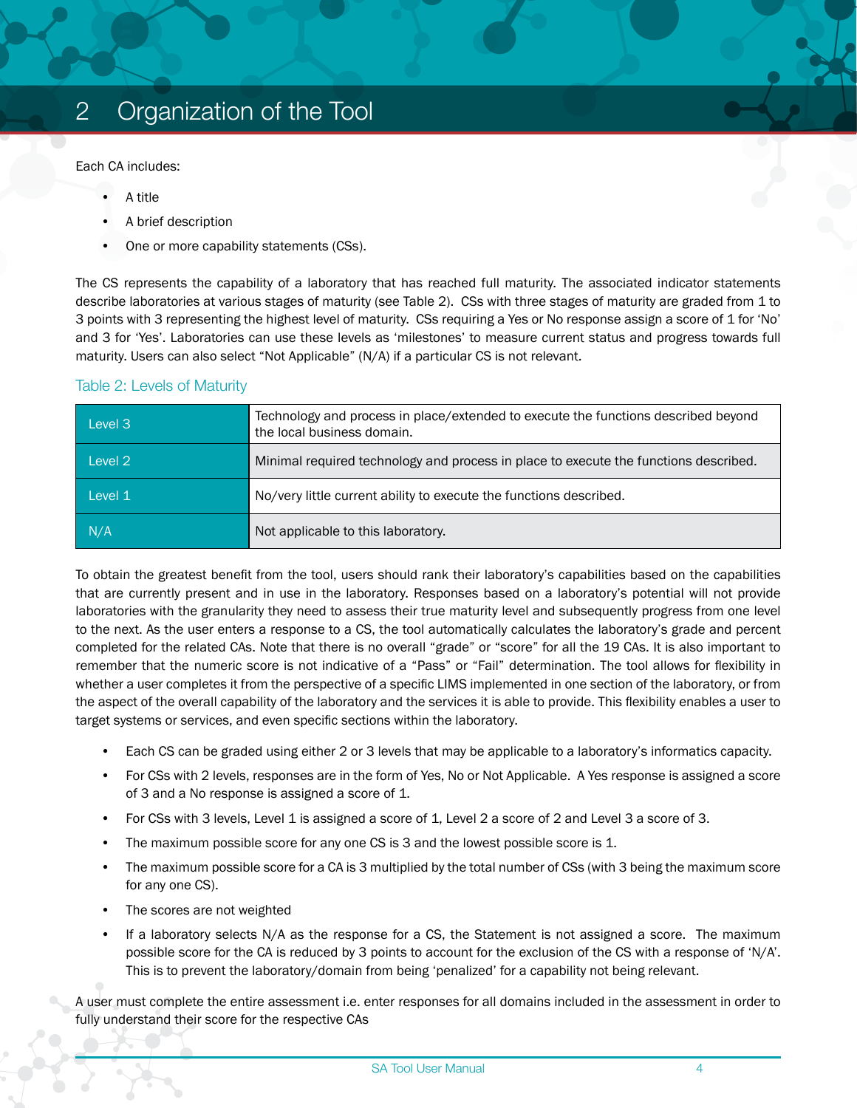Each CA includes:

- A title
- A brief description
- One or more capability statements (CSs).

The CS represents the capability of a laboratory that has reached full maturity. The associated indicator statements describe laboratories at various stages of maturity (see Table 2). CSs with three stages of maturity are graded from 1 to 3 points with 3 representing the highest level of maturity. CSs requiring a Yes or No response assign a score of 1 for 'No' and 3 for 'Yes'. Laboratories can use these levels as 'milestones' to measure current status and progress towards full maturity. Users can also select "Not Applicable" (N/A) if a particular CS is not relevant.

#### Table 2: Levels of Maturity

| Level 3            | Technology and process in place/extended to execute the functions described beyond<br>the local business domain. |
|--------------------|------------------------------------------------------------------------------------------------------------------|
| Level <sub>2</sub> | Minimal required technology and process in place to execute the functions described.                             |
| Level 1            | No/very little current ability to execute the functions described.                                               |
| N/A                | Not applicable to this laboratory.                                                                               |

To obtain the greatest benefit from the tool, users should rank their laboratory's capabilities based on the capabilities that are currently present and in use in the laboratory. Responses based on a laboratory's potential will not provide laboratories with the granularity they need to assess their true maturity level and subsequently progress from one level to the next. As the user enters a response to a CS, the tool automatically calculates the laboratory's grade and percent completed for the related CAs. Note that there is no overall "grade" or "score" for all the 19 CAs. It is also important to remember that the numeric score is not indicative of a "Pass" or "Fail" determination. The tool allows for flexibility in whether a user completes it from the perspective of a specific LIMS implemented in one section of the laboratory, or from the aspect of the overall capability of the laboratory and the services it is able to provide. This flexibility enables a user to target systems or services, and even specific sections within the laboratory.

- Each CS can be graded using either 2 or 3 levels that may be applicable to a laboratory's informatics capacity.
- For CSs with 2 levels, responses are in the form of Yes, No or Not Applicable. A Yes response is assigned a score of 3 and a No response is assigned a score of 1.
- For CSs with 3 levels, Level 1 is assigned a score of 1, Level 2 a score of 2 and Level 3 a score of 3.
- The maximum possible score for any one CS is 3 and the lowest possible score is 1.
- The maximum possible score for a CA is 3 multiplied by the total number of CSs (with 3 being the maximum score for any one CS).
- The scores are not weighted
- If a laboratory selects N/A as the response for a CS, the Statement is not assigned a score. The maximum possible score for the CA is reduced by 3 points to account for the exclusion of the CS with a response of 'N/A'. This is to prevent the laboratory/domain from being 'penalized' for a capability not being relevant.

A user must complete the entire assessment i.e. enter responses for all domains included in the assessment in order to fully understand their score for the respective CAs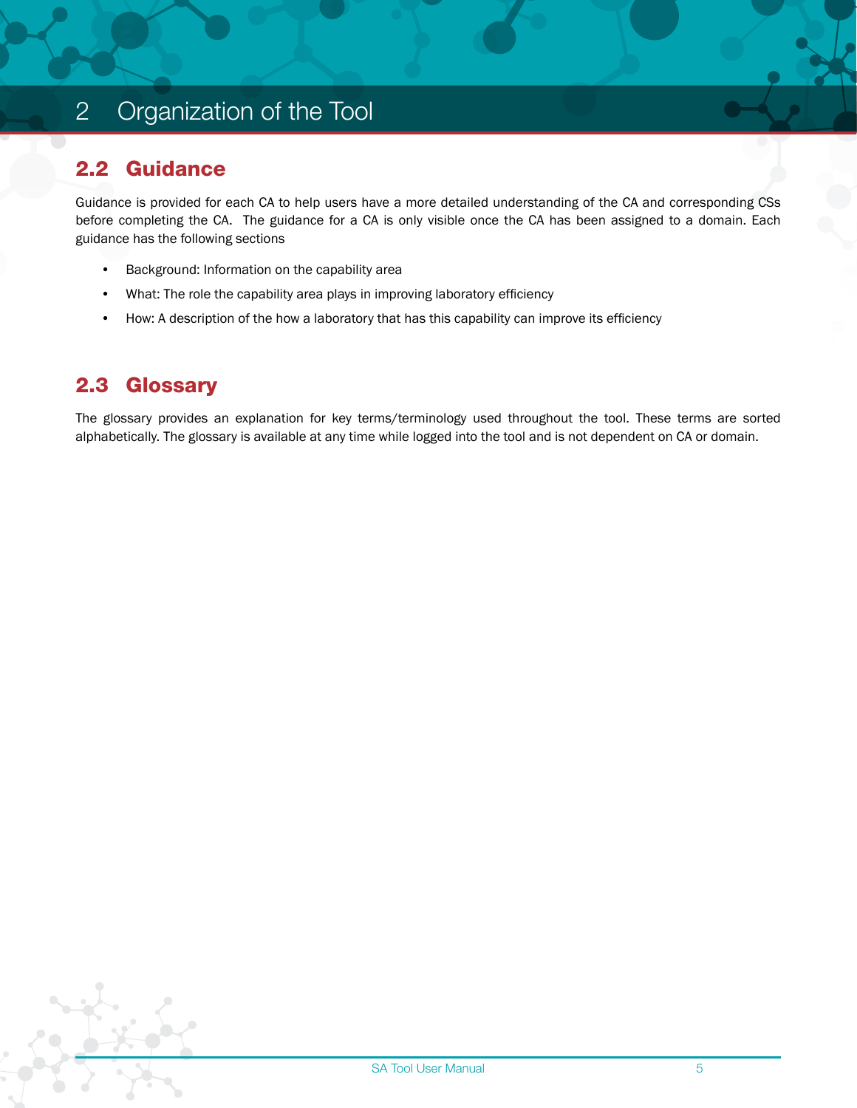# <span id="page-6-0"></span>2 Organization of the Tool

#### 2.2 Guidance

Guidance is provided for each CA to help users have a more detailed understanding of the CA and corresponding CSs before completing the CA. The guidance for a CA is only visible once the CA has been assigned to a domain. Each guidance has the following sections

- Background: Information on the capability area
- What: The role the capability area plays in improving laboratory efficiency
- How: A description of the how a laboratory that has this capability can improve its efficiency

#### 2.3 Glossary

The glossary provides an explanation for key terms/terminology used throughout the tool. These terms are sorted alphabetically. The glossary is available at any time while logged into the tool and is not dependent on CA or domain.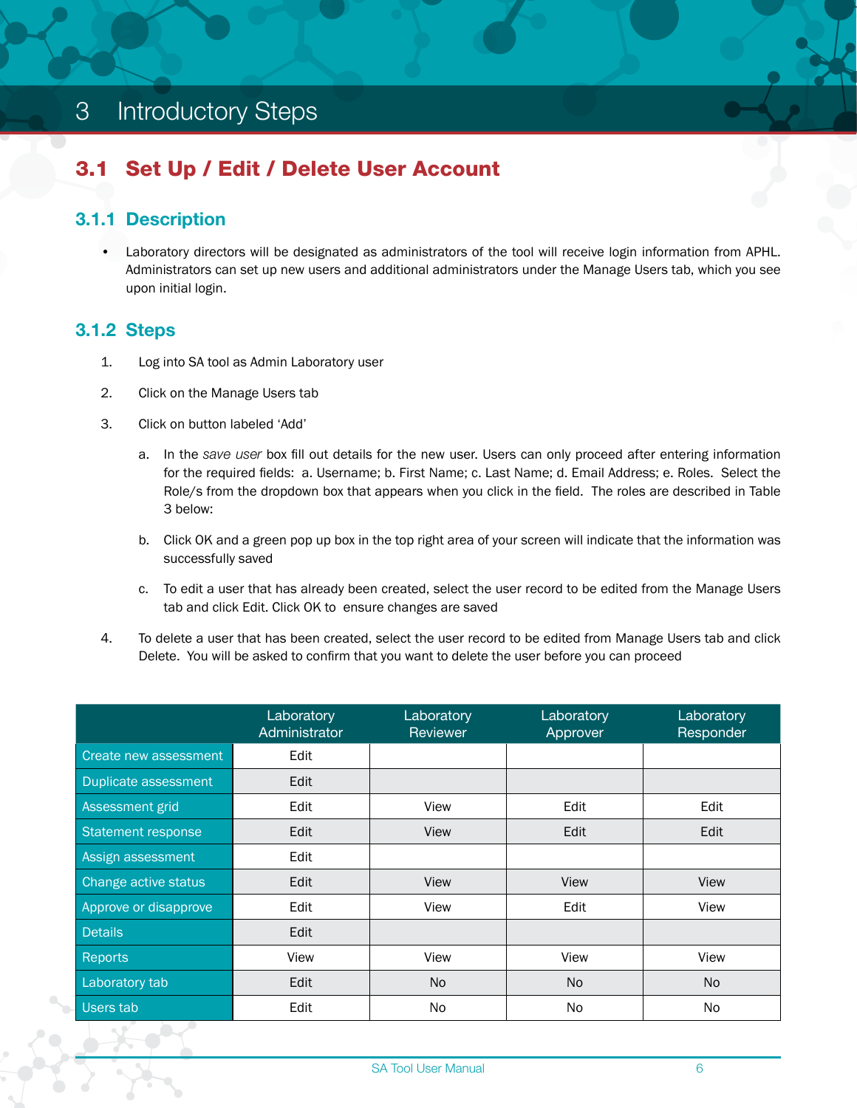# <span id="page-7-0"></span>3 Introductory Steps

# 3.1 Set Up / Edit / Delete User Account

#### 3.1.1 Description

• Laboratory directors will be designated as administrators of the tool will receive login information from APHL. Administrators can set up new users and additional administrators under the Manage Users tab, which you see upon initial login.

#### 3.1.2 Steps

- 1. Log into SA tool as Admin Laboratory user
- 2. Click on the Manage Users tab
- 3. Click on button labeled 'Add'
	- a. In the *save user* box fill out details for the new user. Users can only proceed after entering information for the required fields: a. Username; b. First Name; c. Last Name; d. Email Address; e. Roles. Select the Role/s from the dropdown box that appears when you click in the field. The roles are described in Table 3 below:
	- b. Click OK and a green pop up box in the top right area of your screen will indicate that the information was successfully saved
	- c. To edit a user that has already been created, select the user record to be edited from the Manage Users tab and click Edit. Click OK to ensure changes are saved
- 4. To delete a user that has been created, select the user record to be edited from Manage Users tab and click Delete. You will be asked to confirm that you want to delete the user before you can proceed

|                       | Laboratory<br>Administrator | Laboratory<br>Reviewer | Laboratory<br>Approver | Laboratory<br>Responder |
|-----------------------|-----------------------------|------------------------|------------------------|-------------------------|
| Create new assessment | Edit                        |                        |                        |                         |
| Duplicate assessment  | Edit                        |                        |                        |                         |
| Assessment grid       | Edit                        | View                   | Edit                   | Edit                    |
| Statement response    | Edit                        | View                   | Edit                   | Edit                    |
| Assign assessment     | Edit                        |                        |                        |                         |
| Change active status  | Edit                        | View                   | View                   | View                    |
| Approve or disapprove | Edit                        | View                   | Edit                   | View                    |
| <b>Details</b>        | Edit                        |                        |                        |                         |
| Reports               | View                        | View                   | View                   | View                    |
| Laboratory tab        | Edit                        | N <sub>o</sub>         | No                     | N <sub>o</sub>          |
| Users tab             | Edit                        | No.                    | N <sub>o</sub>         | N <sub>o</sub>          |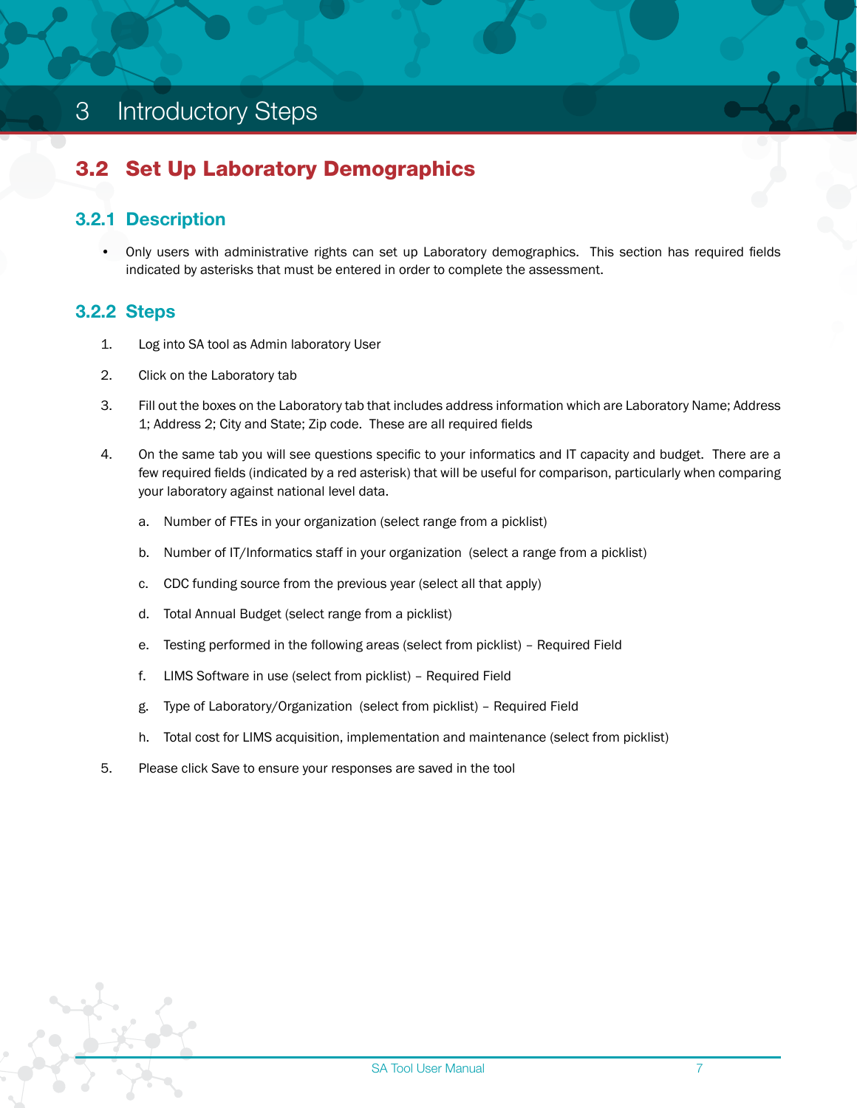# <span id="page-8-0"></span>3 Introductory Steps

## 3.2 Set Up Laboratory Demographics

#### 3.2.1 Description

• Only users with administrative rights can set up Laboratory demographics. This section has required fields indicated by asterisks that must be entered in order to complete the assessment.

#### 3.2.2 Steps

- 1. Log into SA tool as Admin laboratory User
- 2. Click on the Laboratory tab
- 3. Fill out the boxes on the Laboratory tab that includes address information which are Laboratory Name; Address 1; Address 2; City and State; Zip code. These are all required fields
- 4. On the same tab you will see questions specific to your informatics and IT capacity and budget. There are a few required fields (indicated by a red asterisk) that will be useful for comparison, particularly when comparing your laboratory against national level data.
	- a. Number of FTEs in your organization (select range from a picklist)
	- b. Number of IT/Informatics staff in your organization (select a range from a picklist)
	- c. CDC funding source from the previous year (select all that apply)
	- d. Total Annual Budget (select range from a picklist)
	- e. Testing performed in the following areas (select from picklist) Required Field
	- f. LIMS Software in use (select from picklist) Required Field
	- g. Type of Laboratory/Organization (select from picklist) Required Field
	- h. Total cost for LIMS acquisition, implementation and maintenance (select from picklist)
- 5. Please click Save to ensure your responses are saved in the tool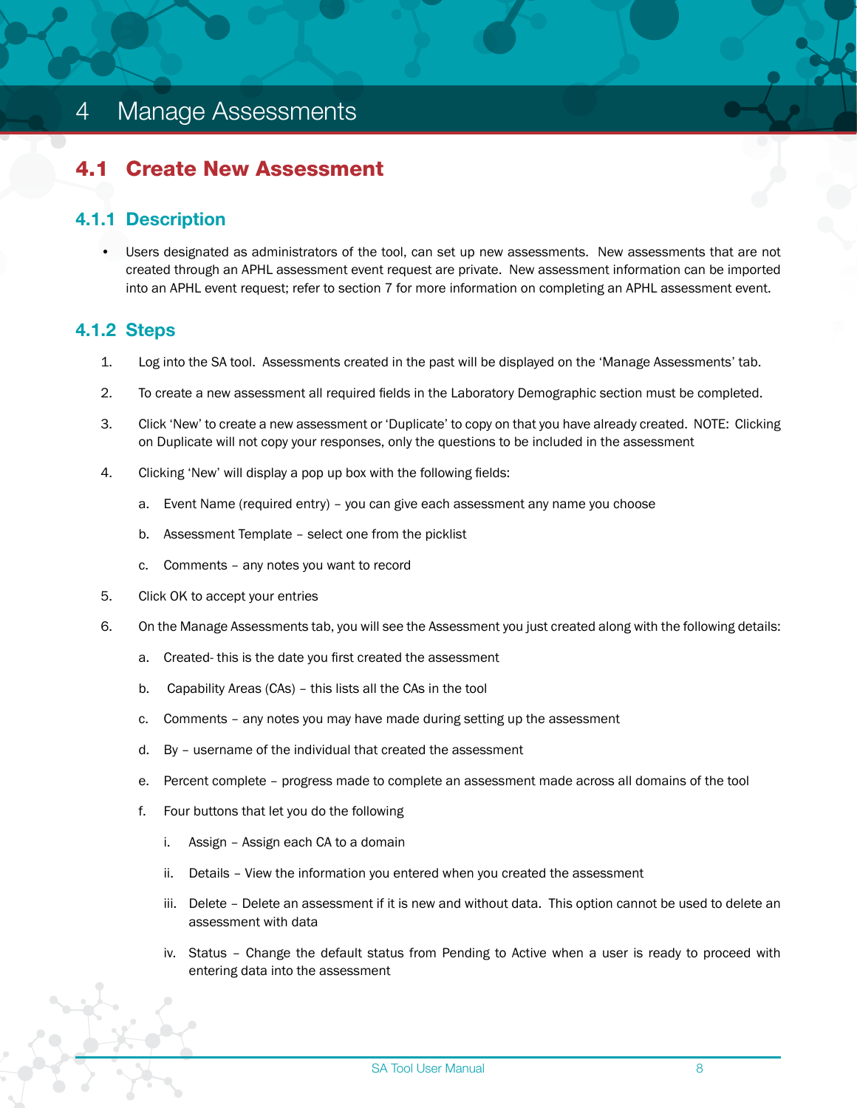# <span id="page-9-0"></span>4 Manage Assessments

#### 4.1 Create New Assessment

#### 4.1.1 Description

• Users designated as administrators of the tool, can set up new assessments. New assessments that are not created through an APHL assessment event request are private. New assessment information can be imported into an APHL event request; refer to section 7 for more information on completing an APHL assessment event.

#### 4.1.2 Steps

- 1. Log into the SA tool. Assessments created in the past will be displayed on the 'Manage Assessments' tab.
- 2. To create a new assessment all required fields in the Laboratory Demographic section must be completed.
- 3. Click 'New' to create a new assessment or 'Duplicate' to copy on that you have already created. NOTE: Clicking on Duplicate will not copy your responses, only the questions to be included in the assessment
- 4. Clicking 'New' will display a pop up box with the following fields:
	- a. Event Name (required entry) you can give each assessment any name you choose
	- b. Assessment Template select one from the picklist
	- c. Comments any notes you want to record
- 5. Click OK to accept your entries
- 6. On the Manage Assessments tab, you will see the Assessment you just created along with the following details:
	- a. Created- this is the date you first created the assessment
	- b. Capability Areas (CAs) this lists all the CAs in the tool
	- c. Comments any notes you may have made during setting up the assessment
	- d. By username of the individual that created the assessment
	- e. Percent complete progress made to complete an assessment made across all domains of the tool
	- f. Four buttons that let you do the following
		- i. Assign Assign each CA to a domain
		- ii. Details View the information you entered when you created the assessment
		- iii. Delete Delete an assessment if it is new and without data. This option cannot be used to delete an assessment with data
		- iv. Status Change the default status from Pending to Active when a user is ready to proceed with entering data into the assessment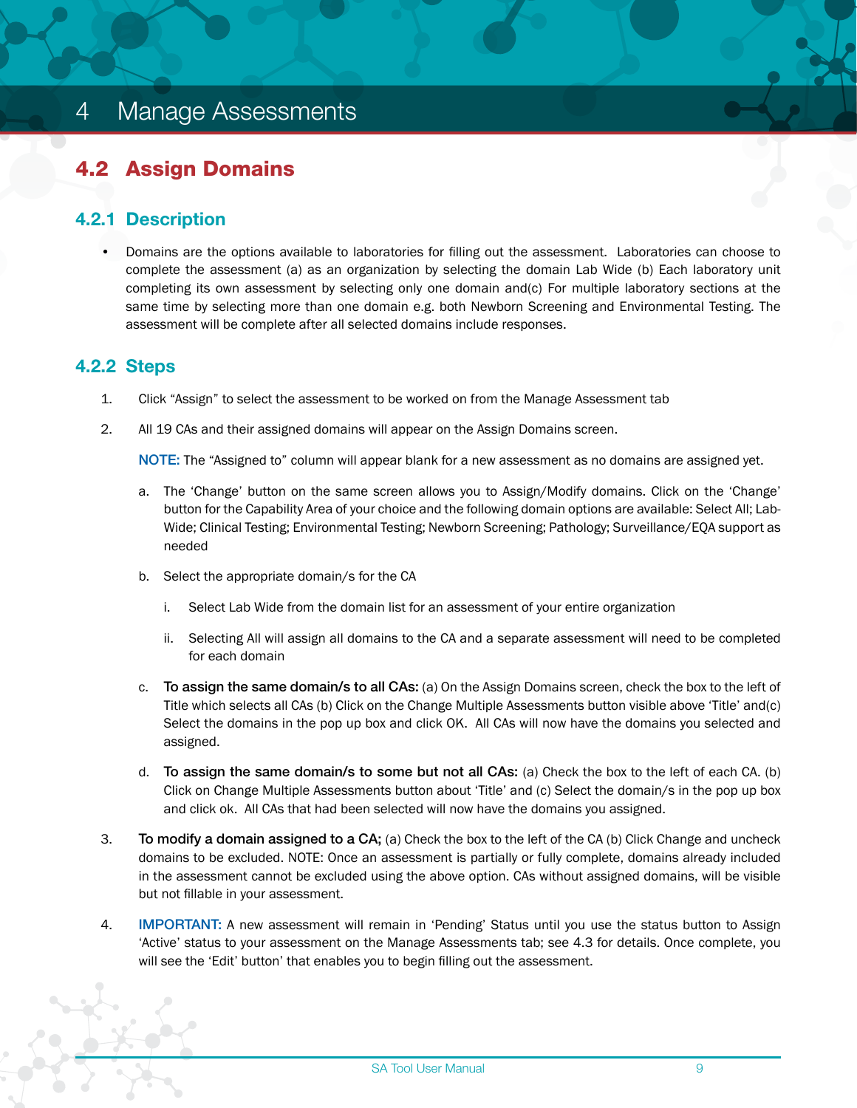## <span id="page-10-0"></span>4.2 Assign Domains

#### 4.2.1 Description

• Domains are the options available to laboratories for filling out the assessment. Laboratories can choose to complete the assessment (a) as an organization by selecting the domain Lab Wide (b) Each laboratory unit completing its own assessment by selecting only one domain and(c) For multiple laboratory sections at the same time by selecting more than one domain e.g. both Newborn Screening and Environmental Testing. The assessment will be complete after all selected domains include responses.

#### 4.2.2 Steps

- 1. Click "Assign" to select the assessment to be worked on from the Manage Assessment tab
- 2. All 19 CAs and their assigned domains will appear on the Assign Domains screen.

NOTE: The "Assigned to" column will appear blank for a new assessment as no domains are assigned yet.

- a. The 'Change' button on the same screen allows you to Assign/Modify domains. Click on the 'Change' button for the Capability Area of your choice and the following domain options are available: Select All; Lab-Wide; Clinical Testing; Environmental Testing; Newborn Screening; Pathology; Surveillance/EQA support as needed
- b. Select the appropriate domain/s for the CA
	- i. Select Lab Wide from the domain list for an assessment of your entire organization
	- ii. Selecting All will assign all domains to the CA and a separate assessment will need to be completed for each domain
- c. To assign the same domain/s to all CAs: (a) On the Assign Domains screen, check the box to the left of Title which selects all CAs (b) Click on the Change Multiple Assessments button visible above 'Title' and(c) Select the domains in the pop up box and click OK. All CAs will now have the domains you selected and assigned.
- d. To assign the same domain/s to some but not all CAs: (a) Check the box to the left of each CA. (b) Click on Change Multiple Assessments button about 'Title' and (c) Select the domain/s in the pop up box and click ok. All CAs that had been selected will now have the domains you assigned.
- 3. To modify a domain assigned to a CA; (a) Check the box to the left of the CA (b) Click Change and uncheck domains to be excluded. NOTE: Once an assessment is partially or fully complete, domains already included in the assessment cannot be excluded using the above option. CAs without assigned domains, will be visible but not fillable in your assessment.
- 4. **IMPORTANT:** A new assessment will remain in 'Pending' Status until you use the status button to Assign 'Active' status to your assessment on the Manage Assessments tab; see 4.3 for details. Once complete, you will see the 'Edit' button' that enables you to begin filling out the assessment.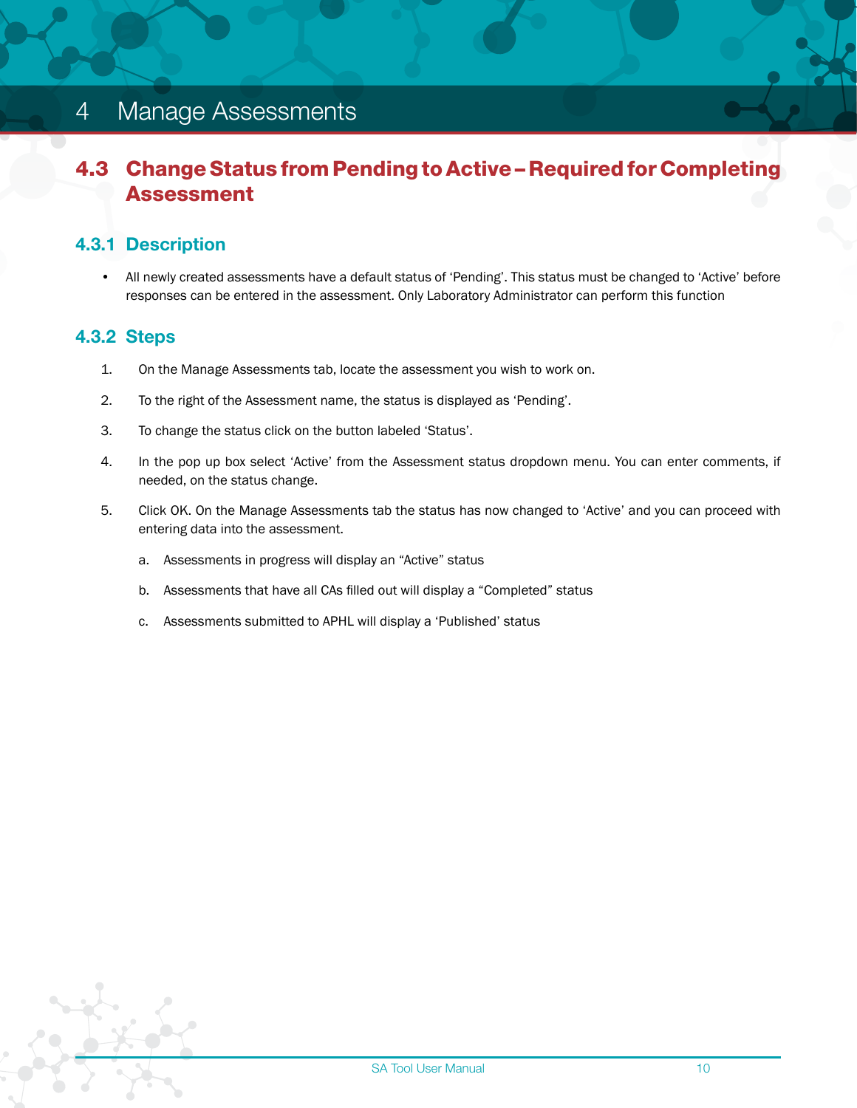# <span id="page-11-0"></span>4 Manage Assessments

## 4.3 Change Status from Pending to Active – Required for Completing Assessment

#### 4.3.1 Description

• All newly created assessments have a default status of 'Pending'. This status must be changed to 'Active' before responses can be entered in the assessment. Only Laboratory Administrator can perform this function

#### 4.3.2 Steps

- 1. On the Manage Assessments tab, locate the assessment you wish to work on.
- 2. To the right of the Assessment name, the status is displayed as 'Pending'.
- 3. To change the status click on the button labeled 'Status'.
- 4. In the pop up box select 'Active' from the Assessment status dropdown menu. You can enter comments, if needed, on the status change.
- 5. Click OK. On the Manage Assessments tab the status has now changed to 'Active' and you can proceed with entering data into the assessment.
	- a. Assessments in progress will display an "Active" status
	- b. Assessments that have all CAs filled out will display a "Completed" status
	- c. Assessments submitted to APHL will display a 'Published' status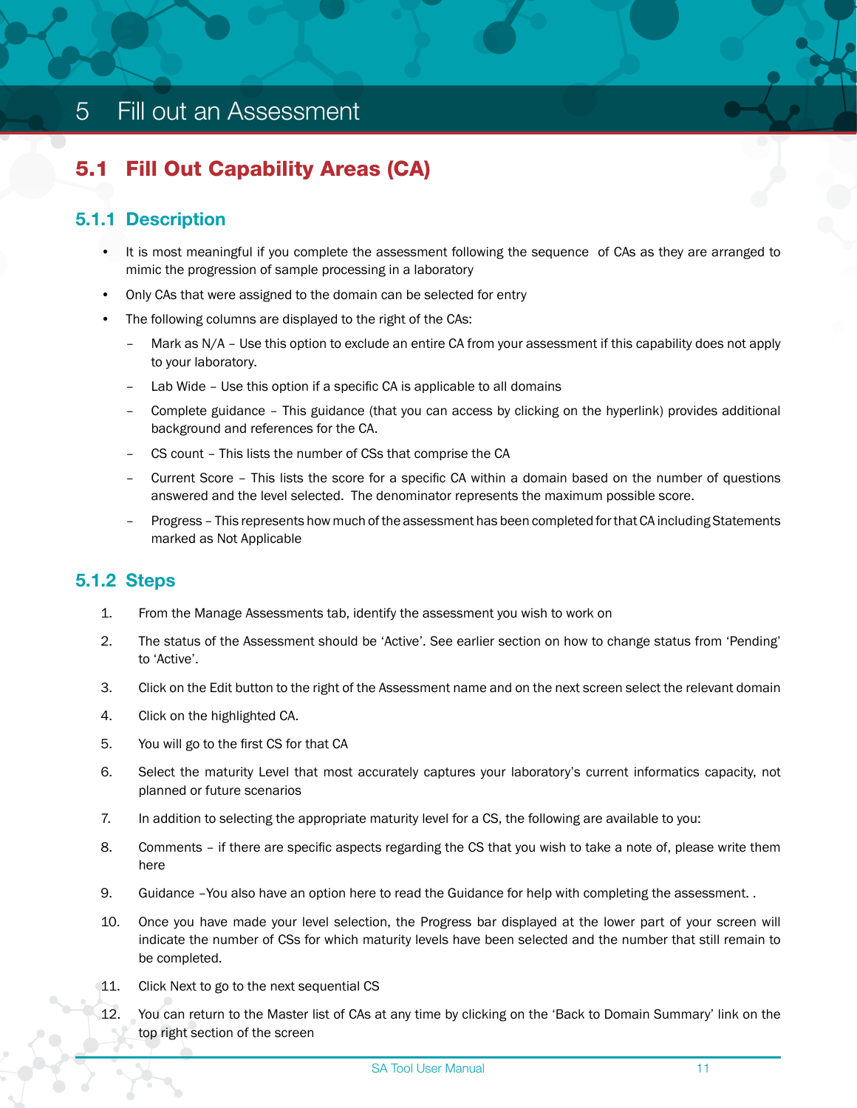# <span id="page-12-0"></span>5.1 Fill Out Capability Areas (CA)

#### 5.1.1 Description

- It is most meaningful if you complete the assessment following the sequence of CAs as they are arranged to mimic the progression of sample processing in a laboratory
- Only CAs that were assigned to the domain can be selected for entry
- The following columns are displayed to the right of the CAs:
	- Mark as N/A Use this option to exclude an entire CA from your assessment if this capability does not apply to your laboratory.
	- Lab Wide Use this option if a specific CA is applicable to all domains
	- Complete guidance This guidance (that you can access by clicking on the hyperlink) provides additional background and references for the CA.
	- CS count This lists the number of CSs that comprise the CA
	- Current Score This lists the score for a specific CA within a domain based on the number of questions answered and the level selected. The denominator represents the maximum possible score.
	- Progress This represents how much of the assessment has been completed for that CA including Statements marked as Not Applicable

#### 5.1.2 Steps

- 1. From the Manage Assessments tab, identify the assessment you wish to work on
- 2. The status of the Assessment should be 'Active'. See earlier section on how to change status from 'Pending' to 'Active'.
- 3. Click on the Edit button to the right of the Assessment name and on the next screen select the relevant domain
- 4. Click on the highlighted CA.
- 5. You will go to the first CS for that CA
- 6. Select the maturity Level that most accurately captures your laboratory's current informatics capacity, not planned or future scenarios
- 7. In addition to selecting the appropriate maturity level for a CS, the following are available to you:
- 8. Comments if there are specific aspects regarding the CS that you wish to take a note of, please write them here
- 9. Guidance –You also have an option here to read the Guidance for help with completing the assessment. .
- 10. Once you have made your level selection, the Progress bar displayed at the lower part of your screen will indicate the number of CSs for which maturity levels have been selected and the number that still remain to be completed.
- 11. Click Next to go to the next sequential CS
- 12. You can return to the Master list of CAs at any time by clicking on the 'Back to Domain Summary' link on the top right section of the screen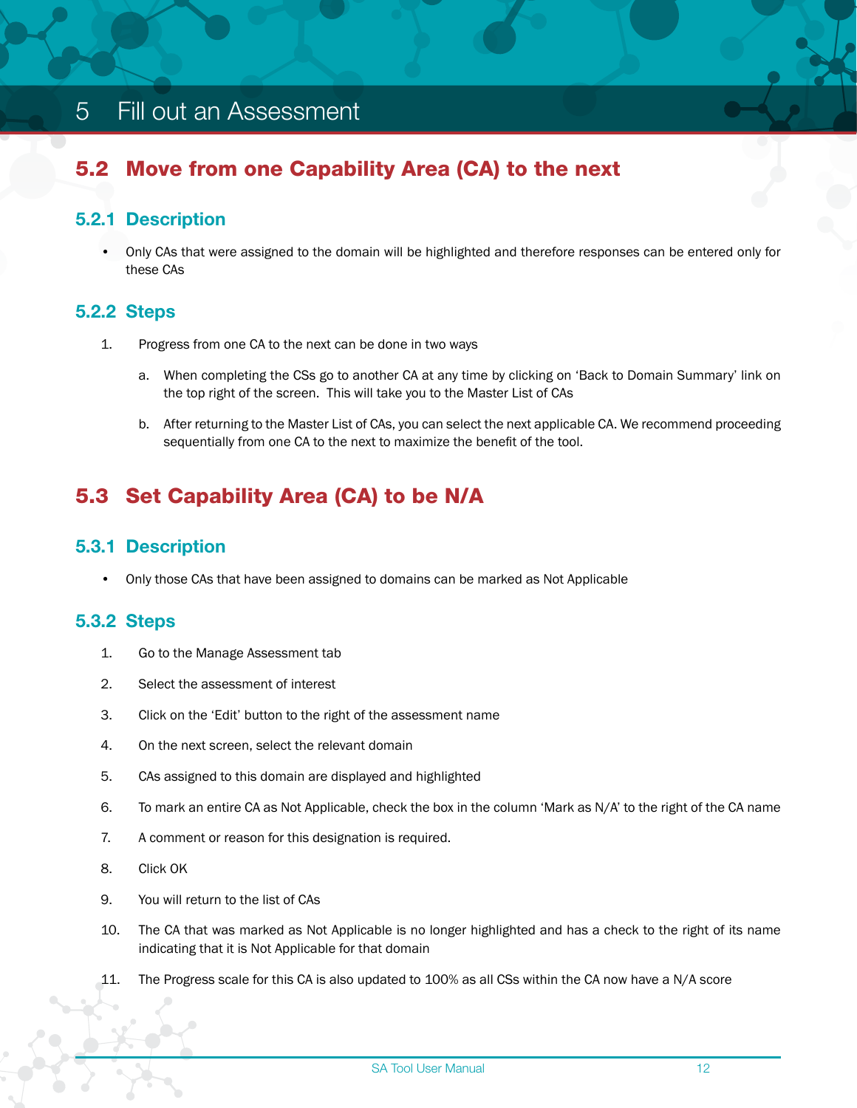# <span id="page-13-0"></span>5.2 Move from one Capability Area (CA) to the next

#### 5.2.1 Description

• Only CAs that were assigned to the domain will be highlighted and therefore responses can be entered only for these CAs

#### 5.2.2 Steps

- 1. Progress from one CA to the next can be done in two ways
	- a. When completing the CSs go to another CA at any time by clicking on 'Back to Domain Summary' link on the top right of the screen. This will take you to the Master List of CAs
	- b. After returning to the Master List of CAs, you can select the next applicable CA. We recommend proceeding sequentially from one CA to the next to maximize the benefit of the tool.

# 5.3 Set Capability Area (CA) to be N/A

#### 5.3.1 Description

• Only those CAs that have been assigned to domains can be marked as Not Applicable

#### 5.3.2 Steps

- 1. Go to the Manage Assessment tab
- 2. Select the assessment of interest
- 3. Click on the 'Edit' button to the right of the assessment name
- 4. On the next screen, select the relevant domain
- 5. CAs assigned to this domain are displayed and highlighted
- 6. To mark an entire CA as Not Applicable, check the box in the column 'Mark as N/A' to the right of the CA name
- 7. A comment or reason for this designation is required.
- 8. Click OK
- 9. You will return to the list of CAs
- 10. The CA that was marked as Not Applicable is no longer highlighted and has a check to the right of its name indicating that it is Not Applicable for that domain
- 11. The Progress scale for this CA is also updated to 100% as all CSs within the CA now have a N/A score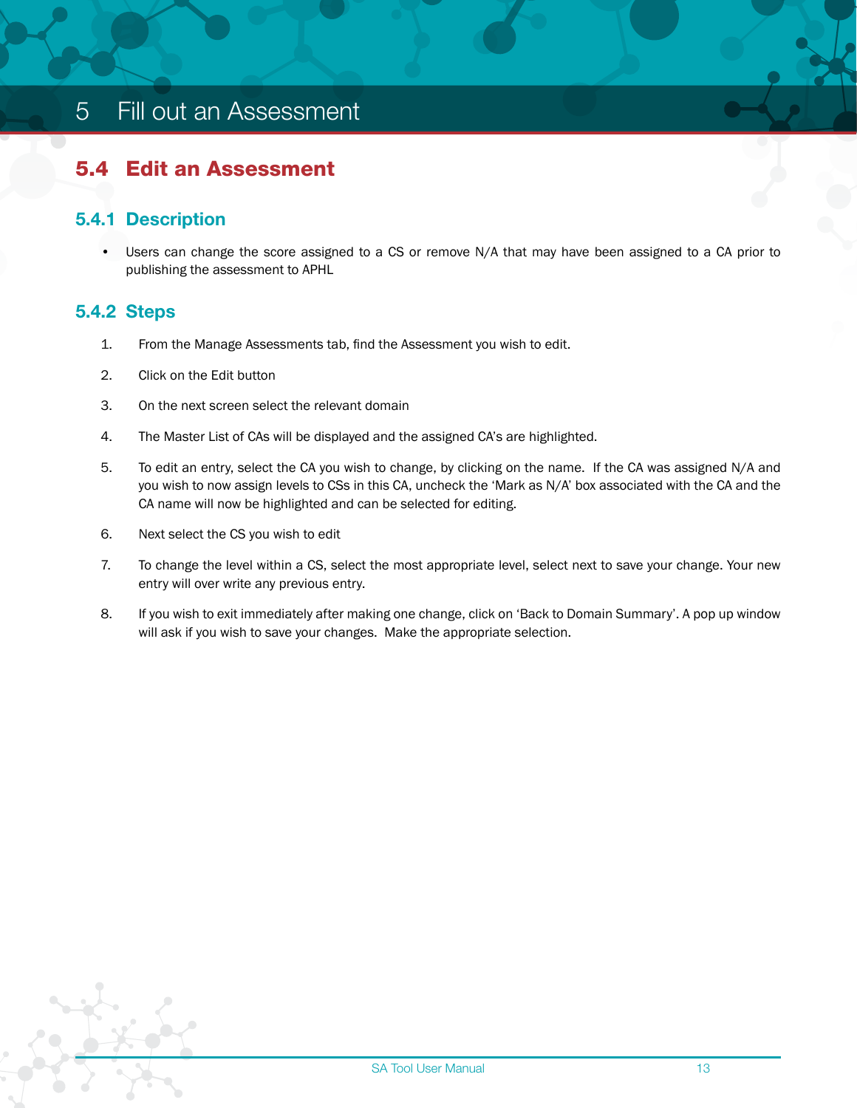# <span id="page-14-0"></span>5.4 Edit an Assessment

#### 5.4.1 Description

• Users can change the score assigned to a CS or remove N/A that may have been assigned to a CA prior to publishing the assessment to APHL

#### 5.4.2 Steps

- 1. From the Manage Assessments tab, find the Assessment you wish to edit.
- 2. Click on the Edit button
- 3. On the next screen select the relevant domain
- 4. The Master List of CAs will be displayed and the assigned CA's are highlighted.
- 5. To edit an entry, select the CA you wish to change, by clicking on the name. If the CA was assigned N/A and you wish to now assign levels to CSs in this CA, uncheck the 'Mark as N/A' box associated with the CA and the CA name will now be highlighted and can be selected for editing.
- 6. Next select the CS you wish to edit
- 7. To change the level within a CS, select the most appropriate level, select next to save your change. Your new entry will over write any previous entry.
- 8. If you wish to exit immediately after making one change, click on 'Back to Domain Summary'. A pop up window will ask if you wish to save your changes. Make the appropriate selection.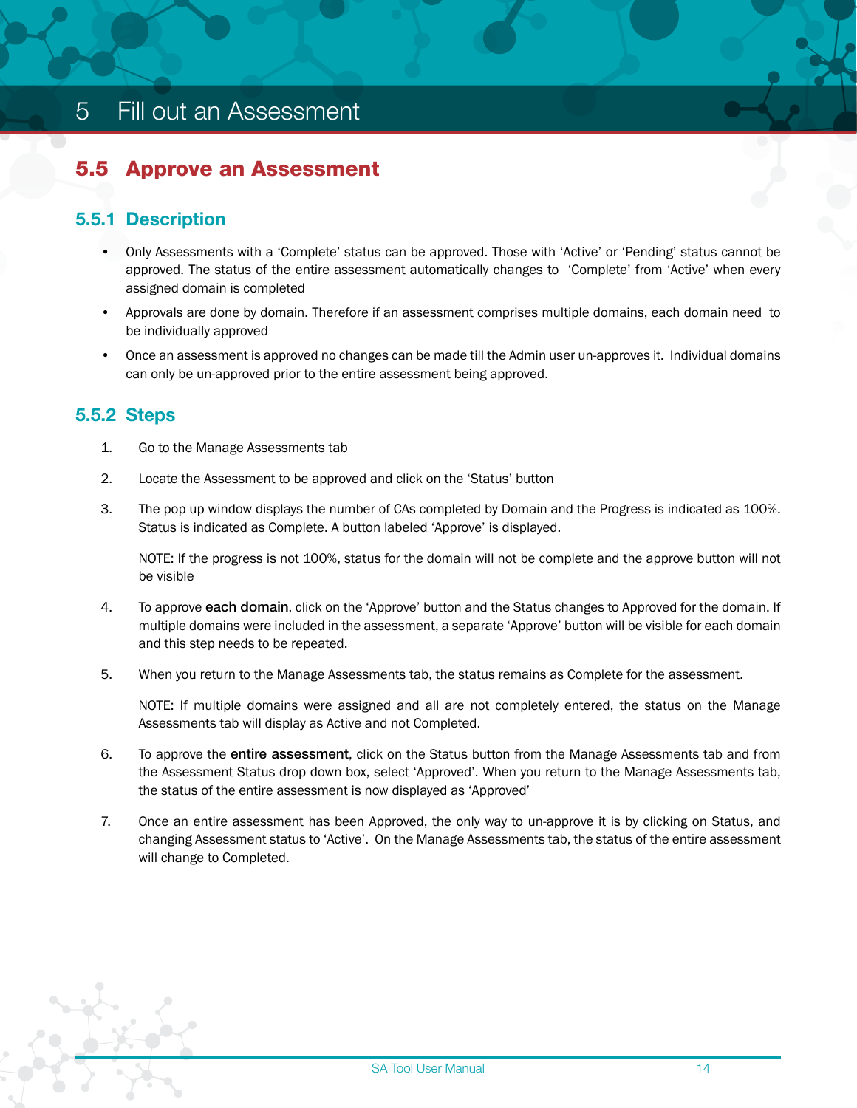# <span id="page-15-0"></span>5.5 Approve an Assessment

#### 5.5.1 Description

- Only Assessments with a 'Complete' status can be approved. Those with 'Active' or 'Pending' status cannot be approved. The status of the entire assessment automatically changes to 'Complete' from 'Active' when every assigned domain is completed
- Approvals are done by domain. Therefore if an assessment comprises multiple domains, each domain need to be individually approved
- Once an assessment is approved no changes can be made till the Admin user un-approves it. Individual domains can only be un-approved prior to the entire assessment being approved.

#### 5.5.2 Steps

- 1. Go to the Manage Assessments tab
- 2. Locate the Assessment to be approved and click on the 'Status' button
- 3. The pop up window displays the number of CAs completed by Domain and the Progress is indicated as 100%. Status is indicated as Complete. A button labeled 'Approve' is displayed.

NOTE: If the progress is not 100%, status for the domain will not be complete and the approve button will not be visible

- 4. To approve each domain, click on the 'Approve' button and the Status changes to Approved for the domain. If multiple domains were included in the assessment, a separate 'Approve' button will be visible for each domain and this step needs to be repeated.
- 5. When you return to the Manage Assessments tab, the status remains as Complete for the assessment.

NOTE: If multiple domains were assigned and all are not completely entered, the status on the Manage Assessments tab will display as Active and not Completed.

- 6. To approve the entire assessment, click on the Status button from the Manage Assessments tab and from the Assessment Status drop down box, select 'Approved'. When you return to the Manage Assessments tab, the status of the entire assessment is now displayed as 'Approved'
- 7. Once an entire assessment has been Approved, the only way to un-approve it is by clicking on Status, and changing Assessment status to 'Active'. On the Manage Assessments tab, the status of the entire assessment will change to Completed.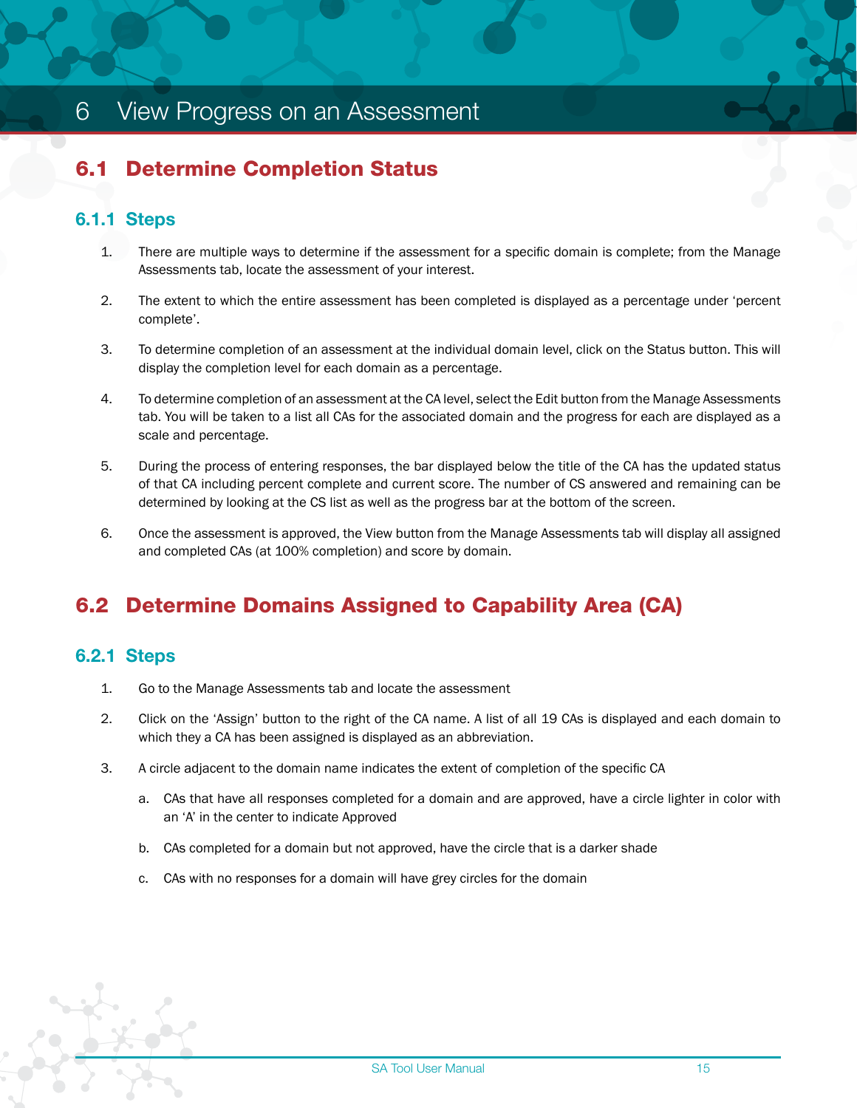# <span id="page-16-0"></span>6 View Progress on an Assessment

# 6.1 Determine Completion Status

#### 6.1.1 Steps

- 1. There are multiple ways to determine if the assessment for a specific domain is complete; from the Manage Assessments tab, locate the assessment of your interest.
- 2. The extent to which the entire assessment has been completed is displayed as a percentage under 'percent complete'.
- 3. To determine completion of an assessment at the individual domain level, click on the Status button. This will display the completion level for each domain as a percentage.
- 4. To determine completion of an assessment at the CA level, select the Edit button from the Manage Assessments tab. You will be taken to a list all CAs for the associated domain and the progress for each are displayed as a scale and percentage.
- 5. During the process of entering responses, the bar displayed below the title of the CA has the updated status of that CA including percent complete and current score. The number of CS answered and remaining can be determined by looking at the CS list as well as the progress bar at the bottom of the screen.
- 6. Once the assessment is approved, the View button from the Manage Assessments tab will display all assigned and completed CAs (at 100% completion) and score by domain.

# 6.2 Determine Domains Assigned to Capability Area (CA)

#### 6.2.1 Steps

- 1. Go to the Manage Assessments tab and locate the assessment
- 2. Click on the 'Assign' button to the right of the CA name. A list of all 19 CAs is displayed and each domain to which they a CA has been assigned is displayed as an abbreviation.
- 3. A circle adjacent to the domain name indicates the extent of completion of the specific CA
	- a. CAs that have all responses completed for a domain and are approved, have a circle lighter in color with an 'A' in the center to indicate Approved
	- b. CAs completed for a domain but not approved, have the circle that is a darker shade
	- c. CAs with no responses for a domain will have grey circles for the domain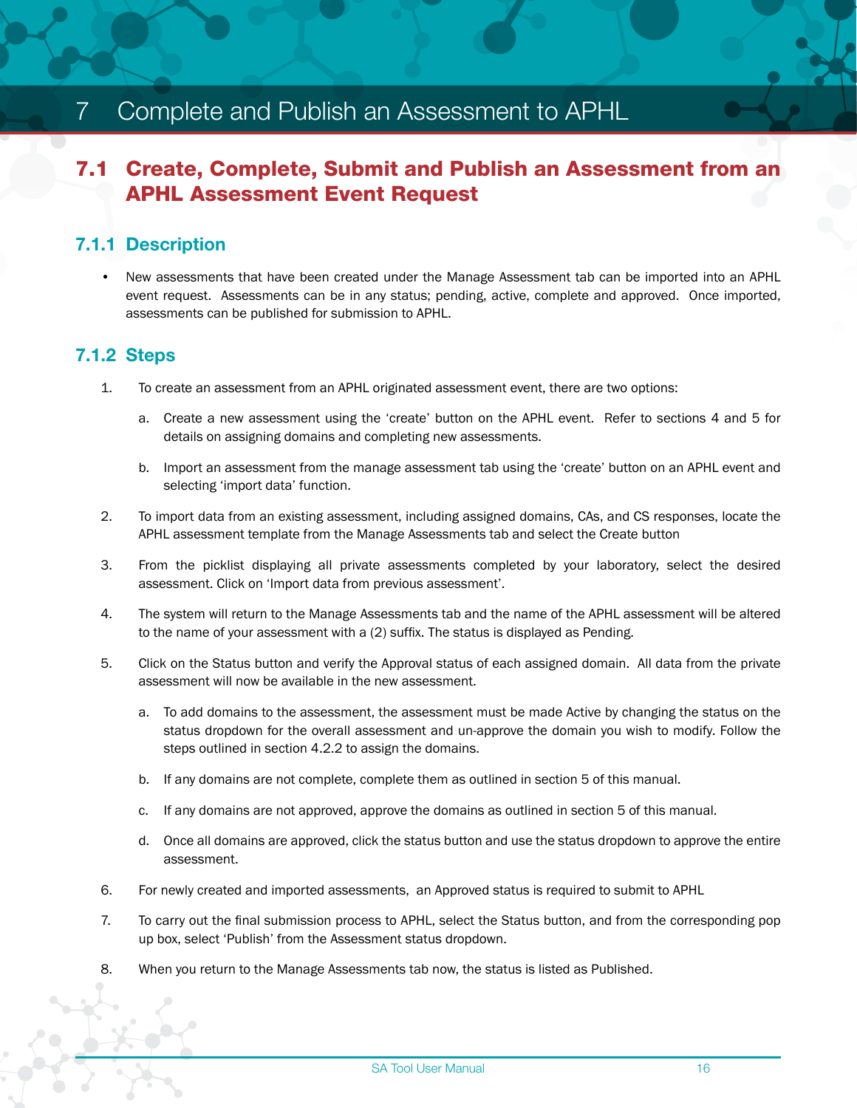# <span id="page-17-0"></span>7 Complete and Publish an Assessment to APHL

### 7.1 Create, Complete, Submit and Publish an Assessment from an APHL Assessment Event Request

#### 7.1.1 Description

• New assessments that have been created under the Manage Assessment tab can be imported into an APHL event request. Assessments can be in any status; pending, active, complete and approved. Once imported, assessments can be published for submission to APHL.

#### 7.1.2 Steps

- 1. To create an assessment from an APHL originated assessment event, there are two options:
	- a. Create a new assessment using the 'create' button on the APHL event. Refer to sections 4 and 5 for details on assigning domains and completing new assessments.
	- b. Import an assessment from the manage assessment tab using the 'create' button on an APHL event and selecting 'import data' function.
- 2. To import data from an existing assessment, including assigned domains, CAs, and CS responses, locate the APHL assessment template from the Manage Assessments tab and select the Create button
- 3. From the picklist displaying all private assessments completed by your laboratory, select the desired assessment. Click on 'Import data from previous assessment'.
- 4. The system will return to the Manage Assessments tab and the name of the APHL assessment will be altered to the name of your assessment with a (2) suffix. The status is displayed as Pending.
- 5. Click on the Status button and verify the Approval status of each assigned domain. All data from the private assessment will now be available in the new assessment.
	- a. To add domains to the assessment, the assessment must be made Active by changing the status on the status dropdown for the overall assessment and un-approve the domain you wish to modify. Follow the steps outlined in section 4.2.2 to assign the domains.
	- b. If any domains are not complete, complete them as outlined in section 5 of this manual.
	- c. If any domains are not approved, approve the domains as outlined in section 5 of this manual.
	- d. Once all domains are approved, click the status button and use the status dropdown to approve the entire assessment.
- 6. For newly created and imported assessments, an Approved status is required to submit to APHL
- 7. To carry out the final submission process to APHL, select the Status button, and from the corresponding pop up box, select 'Publish' from the Assessment status dropdown.
- 8. When you return to the Manage Assessments tab now, the status is listed as Published.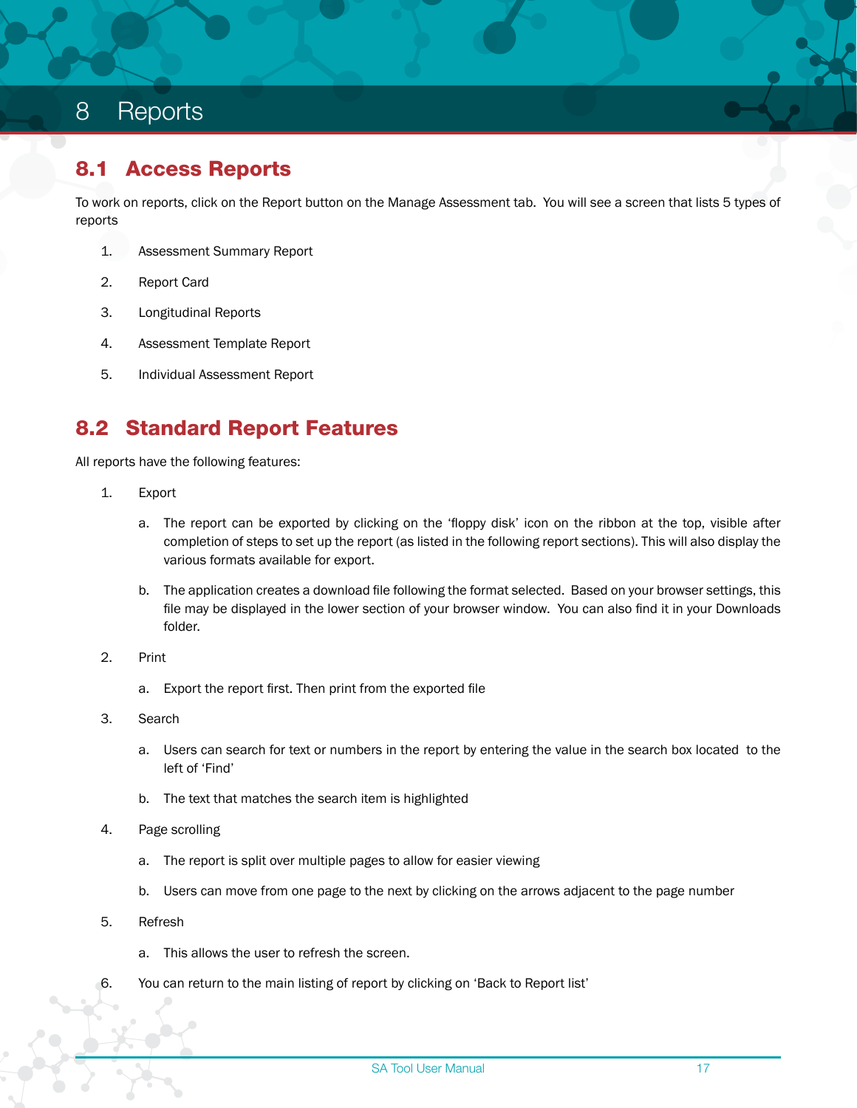#### <span id="page-18-0"></span>8.1 Access Reports

To work on reports, click on the Report button on the Manage Assessment tab. You will see a screen that lists 5 types of reports

- 1. Assessment Summary Report
- 2. Report Card
- 3. Longitudinal Reports
- 4. Assessment Template Report
- 5. Individual Assessment Report

### 8.2 Standard Report Features

All reports have the following features:

- 1. Export
	- a. The report can be exported by clicking on the 'floppy disk' icon on the ribbon at the top, visible after completion of steps to set up the report (as listed in the following report sections). This will also display the various formats available for export.
	- b. The application creates a download file following the format selected. Based on your browser settings, this file may be displayed in the lower section of your browser window. You can also find it in your Downloads folder.
- 2. Print
	- a. Export the report first. Then print from the exported file
- 3. Search
	- a. Users can search for text or numbers in the report by entering the value in the search box located to the left of 'Find'
	- b. The text that matches the search item is highlighted
- 4. Page scrolling
	- a. The report is split over multiple pages to allow for easier viewing
	- b. Users can move from one page to the next by clicking on the arrows adjacent to the page number
- 5. Refresh
	- a. This allows the user to refresh the screen.
- 6. You can return to the main listing of report by clicking on 'Back to Report list'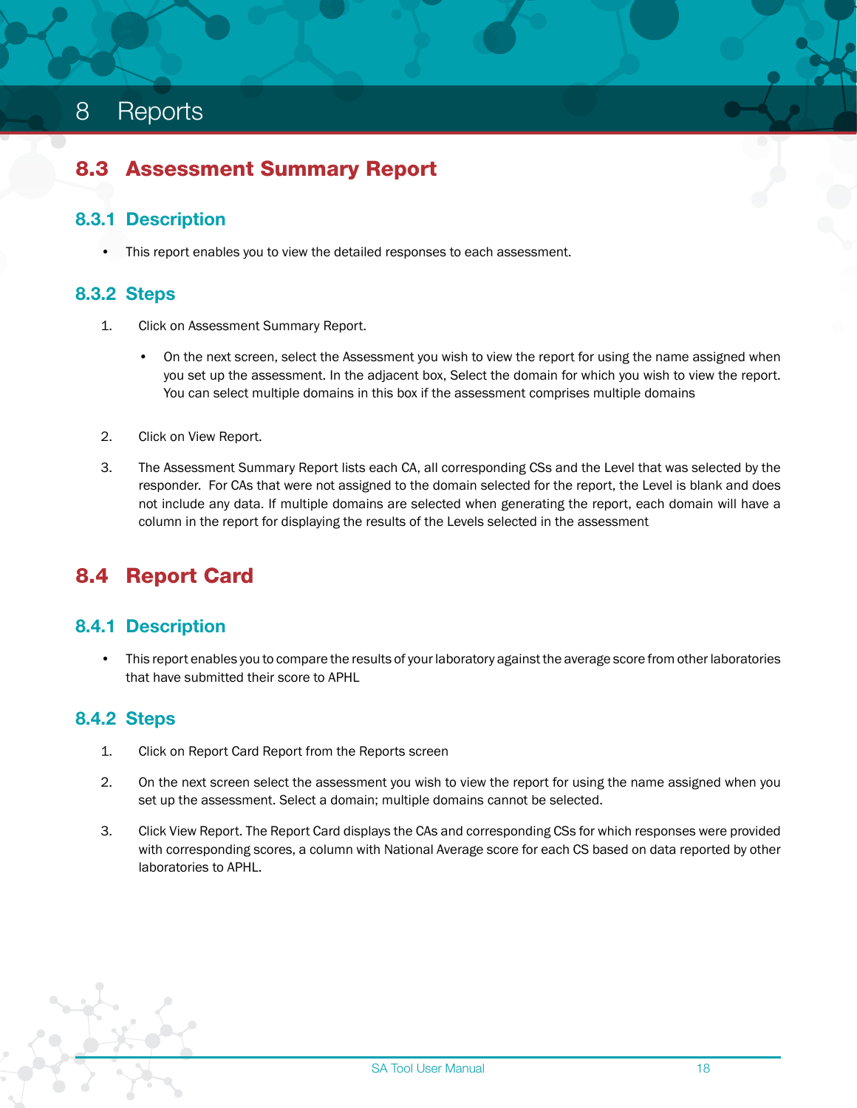#### <span id="page-19-0"></span>8.3 Assessment Summary Report

#### 8.3.1 Description

• This report enables you to view the detailed responses to each assessment.

#### 8.3.2 Steps

- 1. Click on Assessment Summary Report.
	- On the next screen, select the Assessment you wish to view the report for using the name assigned when you set up the assessment. In the adjacent box, Select the domain for which you wish to view the report. You can select multiple domains in this box if the assessment comprises multiple domains
- 2. Click on View Report.
- 3. The Assessment Summary Report lists each CA, all corresponding CSs and the Level that was selected by the responder. For CAs that were not assigned to the domain selected for the report, the Level is blank and does not include any data. If multiple domains are selected when generating the report, each domain will have a column in the report for displaying the results of the Levels selected in the assessment

### 8.4 Report Card

#### 8.4.1 Description

• This report enables you to compare the results of your laboratory against the average score from other laboratories that have submitted their score to APHL

#### 8.4.2 Steps

- 1. Click on Report Card Report from the Reports screen
- 2. On the next screen select the assessment you wish to view the report for using the name assigned when you set up the assessment. Select a domain; multiple domains cannot be selected.
- 3. Click View Report. The Report Card displays the CAs and corresponding CSs for which responses were provided with corresponding scores, a column with National Average score for each CS based on data reported by other laboratories to APHL.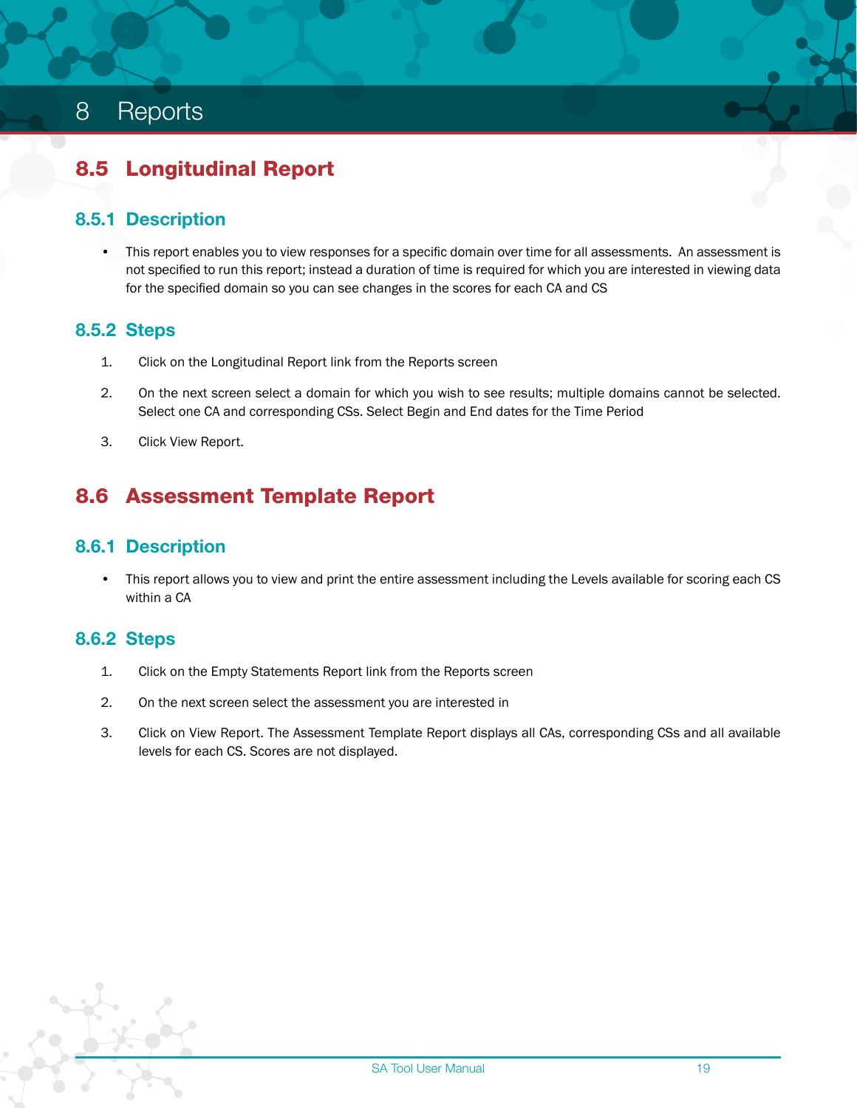# <span id="page-20-0"></span>8.5 Longitudinal Report

#### 8.5.1 Description

• This report enables you to view responses for a specific domain over time for all assessments. An assessment is not specified to run this report; instead a duration of time is required for which you are interested in viewing data for the specified domain so you can see changes in the scores for each CA and CS

#### 8.5.2 Steps

- 1. Click on the Longitudinal Report link from the Reports screen
- 2. On the next screen select a domain for which you wish to see results; multiple domains cannot be selected. Select one CA and corresponding CSs. Select Begin and End dates for the Time Period
- 3. Click View Report.

# 8.6 Assessment Template Report

#### 8.6.1 Description

• This report allows you to view and print the entire assessment including the Levels available for scoring each CS within a CA

#### 8.6.2 Steps

- 1. Click on the Empty Statements Report link from the Reports screen
- 2. On the next screen select the assessment you are interested in
- 3. Click on View Report. The Assessment Template Report displays all CAs, corresponding CSs and all available levels for each CS. Scores are not displayed.